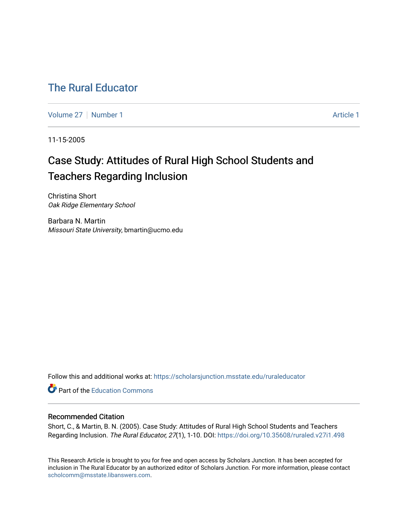## [The Rural Educator](https://scholarsjunction.msstate.edu/ruraleducator)

[Volume 27](https://scholarsjunction.msstate.edu/ruraleducator/vol27) | [Number 1](https://scholarsjunction.msstate.edu/ruraleducator/vol27/iss1) Article 1

11-15-2005

# Case Study: Attitudes of Rural High School Students and Teachers Regarding Inclusion

Christina Short Oak Ridge Elementary School

Barbara N. Martin Missouri State University, bmartin@ucmo.edu

Follow this and additional works at: [https://scholarsjunction.msstate.edu/ruraleducator](https://scholarsjunction.msstate.edu/ruraleducator?utm_source=scholarsjunction.msstate.edu%2Fruraleducator%2Fvol27%2Fiss1%2F1&utm_medium=PDF&utm_campaign=PDFCoverPages)

**C** Part of the [Education Commons](http://network.bepress.com/hgg/discipline/784?utm_source=scholarsjunction.msstate.edu%2Fruraleducator%2Fvol27%2Fiss1%2F1&utm_medium=PDF&utm_campaign=PDFCoverPages)

### Recommended Citation

Short, C., & Martin, B. N. (2005). Case Study: Attitudes of Rural High School Students and Teachers Regarding Inclusion. The Rural Educator, 27(1), 1-10. DOI: <https://doi.org/10.35608/ruraled.v27i1.498>

This Research Article is brought to you for free and open access by Scholars Junction. It has been accepted for inclusion in The Rural Educator by an authorized editor of Scholars Junction. For more information, please contact [scholcomm@msstate.libanswers.com.](mailto:scholcomm@msstate.libanswers.com)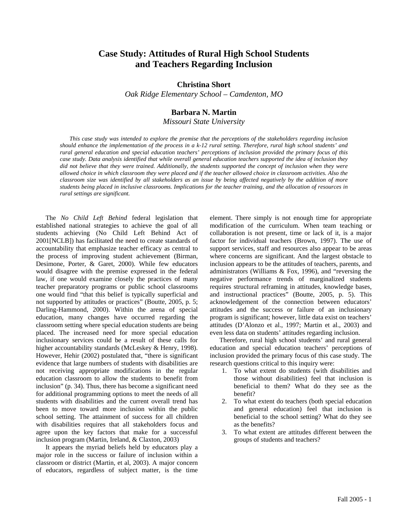## **Case Study: Attitudes of Rural High School Students and Teachers Regarding Inclusion**

#### **Christina Short**

*Oak Ridge Elementary School – Camdenton, MO* 

#### **Barbara N. Martin**

*Missouri State University* 

*This case study was intended to explore the premise that the perceptions of the stakeholders regarding inclusion should enhance the implementation of the process in a k-12 rural setting. Therefore, rural high school students' and rural general education and special education teachers' perceptions of inclusion provided the primary focus of this case study. Data analysis identified that while overall general education teachers supported the idea of inclusion they*  did not believe that they were trained. Additionally, the students supported the concept of inclusion when they were *allowed choice in which classroom they were placed and if the teacher allowed choice in classroom activities. Also the classroom size was identified by all stakeholders as an issue by being affected negatively by the addition of more students being placed in inclusive classrooms. Implications for the teacher training, and the allocation of resources in rural settings are significant.* 

The *No Child Left Behind* federal legislation that established national strategies to achieve the goal of all students achieving (No Child Left Behind Act of 2001[NCLB]) has facilitated the need to create standards of accountability that emphasize teacher efficacy as central to the process of improving student achievement (Birman, Desimone, Porter, & Garet, 2000). While few educators would disagree with the premise expressed in the federal law, if one would examine closely the practices of many teacher preparatory programs or public school classrooms one would find "that this belief is typically superficial and not supported by attitudes or practices" (Boutte, 2005, p. 5; Darling-Hammond, 2000). Within the arena of special education, many changes have occurred regarding the classroom setting where special education students are being placed. The increased need for more special education inclusionary services could be a result of these calls for higher accountability standards (McLeskey & Henry, 1998). However, Hehir (2002) postulated that, "there is significant evidence that large numbers of students with disabilities are not receiving appropriate modifications in the regular education classroom to allow the students to benefit from inclusion" (p. 34). Thus, there has become a significant need for additional programming options to meet the needs of all students with disabilities and the current overall trend has been to move toward more inclusion within the public school setting. The attainment of success for all children with disabilities requires that all stakeholders focus and agree upon the key factors that make for a successful inclusion program (Martin, Ireland, & Claxton, 2003)

It appears the myriad beliefs held by educators play a major role in the success or failure of inclusion within a classroom or district (Martin, et al, 2003). A major concern of educators, regardless of subject matter, is the time

element. There simply is not enough time for appropriate modification of the curriculum. When team teaching or collaboration is not present, time or lack of it, is a major factor for individual teachers (Brown, 1997). The use of support services, staff and resources also appear to be areas where concerns are significant. And the largest obstacle to inclusion appears to be the attitudes of teachers, parents, and administrators (Williams & Fox, 1996), and "reversing the negative performance trends of marginalized students requires structural reframing in attitudes, knowledge bases, and instructional practices" (Boutte, 2005, p. 5). This acknowledgement of the connection between educators' attitudes and the success or failure of an inclusionary program is significant; however, little data exist on teachers' attitudes (D'Alonzo et al., 1997; Martin et al., 2003) and even less data on students' attitudes regarding inclusion.

Therefore, rural high school students' and rural general education and special education teachers' perceptions of inclusion provided the primary focus of this case study. The research questions critical to this inquiry were:

- 1. To what extent do students (with disabilities and those without disabilities) feel that inclusion is beneficial to them? What do they see as the benefit?
- 2. To what extent do teachers (both special education and general education) feel that inclusion is beneficial to the school setting? What do they see as the benefits?
- To what extent are attitudes different between the groups of students and teachers?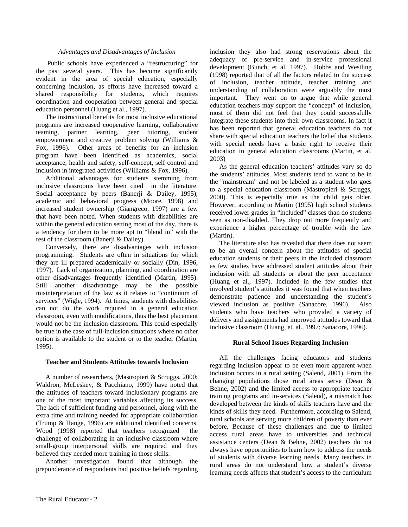#### *Advantages and Disadvantages of Inclusion*

Public schools have experienced a "restructuring" for the past several years. This has become significantly evident in the area of special education, especially concerning inclusion, as efforts have increased toward a shared responsibility for students, which requires coordination and cooperation between general and special education personnel (Huang et al., 1997).

The instructional benefits for most inclusive educational programs are increased cooperative learning, collaborative teaming, partner learning, peer tutoring, student empowerment and creative problem solving (Williams & Fox, 1996). Other areas of benefits for an inclusion program have been identified as academics, social acceptance, health and safety, self-concept, self control and inclusion in integrated activities (Williams & Fox, 1996).

Additional advantages for students stemming from inclusive classrooms have been cited in the literature. Social acceptance by peers (Banerji & Dailey, 1995), academic and behavioral progress (Moore, 1998) and increased student ownership (Giangreco, 1997) are a few that have been noted. When students with disabilities are within the general education setting most of the day, there is a tendency for them to be more apt to "blend in" with the rest of the classroom (Banerji & Dailey).

Conversely, there are disadvantages with inclusion programming. Students are often in situations for which they are ill prepared academically or socially (Din, 1996, 1997). Lack of organization, planning, and coordination are other disadvantages frequently identified (Martin, 1995). Still another disadvantage may be the possible misinterpretation of the law as it relates to "continuum of services" (Wigle, 1994). At times, students with disabilities can not do the work required in a general education classroom, even with modifications, thus the best placement would not be the inclusion classroom. This could especially be true in the case of full-inclusion situations where no other option is available to the student or to the teacher (Martin, 1995).

#### **Teacher and Students Attitudes towards Inclusion**

A number of researchers, (Mastropieri & Scruggs, 2000; Waldron, McLeskey, & Pacchiano, 1999) have noted that the attitudes of teachers toward inclusionary programs are one of the most important variables affecting its success. The lack of sufficient funding and personnel, along with the extra time and training needed for appropriate collaboration (Trump & Hange, 1996) are additional identified concerns. Wood (1998) reported that teachers recognized the challenge of collaborating in an inclusive classroom where small-group interpersonal skills are required and they believed they needed more training in those skills.

Another investigation found that although the preponderance of respondents had positive beliefs regarding inclusion they also had strong reservations about the adequacy of pre-service and in-service professional development (Bunch, et al. 1997). Hobbs and Westling (1998) reported that of all the factors related to the success of inclusion, teacher attitude, teacher training and understanding of collaboration were arguably the most important. They went on to argue that while general education teachers may support the "concept" of inclusion, most of them did not feel that they could successfully integrate these students into their own classrooms. In fact it has been reported that general education teachers do not share with special education teachers the belief that students with special needs have a basic right to receive their education in general education classrooms (Martin, et al. 2003)

As the general education teachers' attitudes vary so do the students' attitudes. Most students tend to want to be in the "mainstream" and not be labeled as a student who goes to a special education classroom (Mastropieri & Scruggs, 2000). This is especially true as the child gets older. However, according to Martin (1995) high school students received lower grades in "included" classes than do students seen as non-disabled. They drop out more frequently and experience a higher percentage of trouble with the law (Martin).

The literature also has revealed that there does not seem to be an overall concern about the attitudes of special education students or their peers in the included classroom as few studies have addressed student attitudes about their inclusion with all students or about the peer acceptance (Huang et al., 1997). Included in the few studies that involved student's attitudes it was found that when teachers demonstrate patience and understanding the student's viewed inclusion as positive (Sanacore, 1996). Also students who have teachers who provided a variety of delivery and assignments had improved attitudes toward that inclusive classroom (Huang, et. al., 1997; Sanacore, 1996).

#### **Rural School Issues Regarding Inclusion**

All the challenges facing educators and students regarding inclusion appear to be even more apparent when inclusion occurs in a rural setting (Salend, 2001). From the changing populations those rural areas serve (Dean & Behne, 2002) and the limited access to appropriate teacher training programs and in-services (Salend), a mismatch has developed between the kinds of skills teachers have and the kinds of skills they need. Furthermore, according to Salend, rural schools are serving more children of poverty than ever before. Because of these challenges and due to limited access rural areas have to universities and technical assistance centers (Dean & Behne, 2002) teachers do not always have opportunities to learn how to address the needs of students with diverse learning needs. Many teachers in rural areas do not understand how a student's diverse learning needs affects that student's access to the curriculum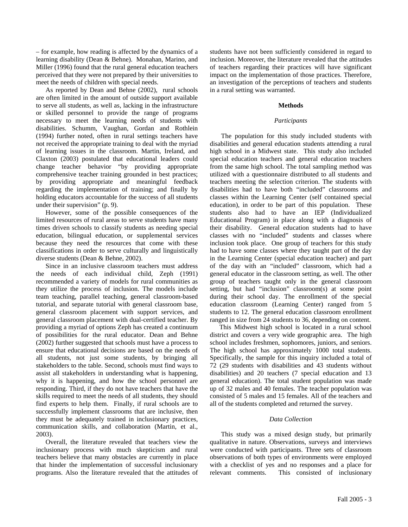– for example, how reading is affected by the dynamics of a learning disability (Dean & Behne). Monahan, Marino, and Miller (1996) found that the rural general education teachers perceived that they were not prepared by their universities to meet the needs of children with special needs.

As reported by Dean and Behne (2002), rural schools are often limited in the amount of outside support available to serve all students, as well as, lacking in the infrastructure or skilled personnel to provide the range of programs necessary to meet the learning needs of students with disabilities. Schumm, Vaughan, Gordan and Rothlein (1994) further noted, often in rural settings teachers have not received the appropriate training to deal with the myriad of learning issues in the classroom. Martin, Ireland, and Claxton (2003) postulated that educational leaders could change teacher behavior "by providing appropriate comprehensive teacher training grounded in best practices; by providing appropriate and meaningful feedback regarding the implementation of training; and finally by holding educators accountable for the success of all students under their supervision" (p. 9).

However, some of the possible consequences of the limited resources of rural areas to serve students have many times driven schools to classify students as needing special education, bilingual education, or supplemental services because they need the resources that come with these classifications in order to serve culturally and linguistically diverse students (Dean & Behne, 2002).

Since in an inclusive classroom teachers must address the needs of each individual child, Zeph (1991) recommended a variety of models for rural communities as they utilize the process of inclusion. The models include team teaching, parallel teaching, general classroom-based tutorial, and separate tutorial with general classroom base, general classroom placement with support services, and general classroom placement with dual-certified teacher. By providing a myriad of options Zeph has created a continuum of possibilities for the rural educator. Dean and Behne (2002) further suggested that schools must have a process to ensure that educational decisions are based on the needs of all students, not just some students, by bringing all stakeholders to the table. Second, schools must find ways to assist all stakeholders in understanding what is happening, why it is happening, and how the school personnel are responding. Third, if they do not have teachers that have the skills required to meet the needs of all students, they should find experts to help them. Finally, if rural schools are to successfully implement classrooms that are inclusive, then they must be adequately trained in inclusionary practices, communication skills, and collaboration (Martin, et al., 2003).

Overall, the literature revealed that teachers view the inclusionary process with much skepticism and rural teachers believe that many obstacles are currently in place that hinder the implementation of successful inclusionary programs. Also the literature revealed that the attitudes of students have not been sufficiently considered in regard to inclusion. Moreover, the literature revealed that the attitudes of teachers regarding their practices will have significant impact on the implementation of those practices. Therefore, an investigation of the perceptions of teachers and students in a rural setting was warranted.

#### **Methods**

#### *Participants*

The population for this study included students with disabilities and general education students attending a rural high school in a Midwest state. This study also included special education teachers and general education teachers from the same high school. The total sampling method was utilized with a questionnaire distributed to all students and teachers meeting the selection criterion. The students with disabilities had to have both "included" classrooms and classes within the Learning Center (self contained special education), in order to be part of this population. These students also had to have an IEP (Individualized Educational Program) in place along with a diagnosis of their disability. General education students had to have classes with no "included" students and classes where inclusion took place. One group of teachers for this study had to have some classes where they taught part of the day in the Learning Center (special education teacher) and part of the day with an "included" classroom, which had a general educator in the classroom setting, as well. The other group of teachers taught only in the general classroom setting, but had "inclusion" classroom(s) at some point during their school day. The enrollment of the special education classroom (Learning Center) ranged from 5 students to 12. The general education classroom enrollment ranged in size from 24 students to 36, depending on content.

This Midwest high school is located in a rural school district and covers a very wide geographic area. The high school includes freshmen, sophomores, juniors, and seniors. The high school has approximately 1000 total students. Specifically, the sample for this inquiry included a total of 72 (29 students with disabilities and 43 students without disabilities) and 20 teachers (7 special education and 13 general education). The total student population was made up of 32 males and 40 females. The teacher population was consisted of 5 males and 15 females. All of the teachers and all of the students completed and returned the survey.

#### *Data Collection*

 This study was a mixed design study, but primarily qualitative in nature. Observations, surveys and interviews were conducted with participants. Three sets of classroom observations of both types of environments were employed with a checklist of yes and no responses and a place for relevant comments. This consisted of inclusionary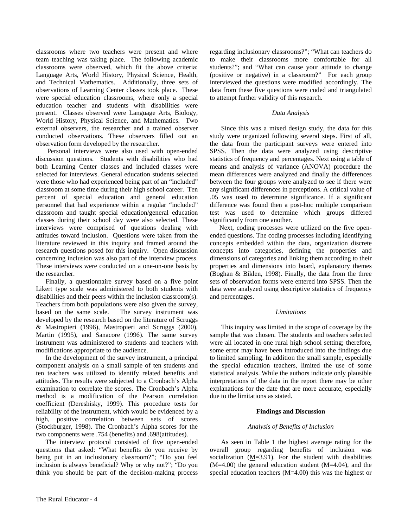classrooms where two teachers were present and where team teaching was taking place. The following academic classrooms were observed, which fit the above criteria: Language Arts, World History, Physical Science, Health, and Technical Mathematics. Additionally, three sets of observations of Learning Center classes took place. These were special education classrooms, where only a special education teacher and students with disabilities were present. Classes observed were Language Arts, Biology, World History, Physical Science, and Mathematics. Two external observers, the researcher and a trained observer conducted observations. These observers filled out an observation form developed by the researcher.

 Personal interviews were also used with open-ended discussion questions. Students with disabilities who had both Learning Center classes and included classes were selected for interviews. General education students selected were those who had experienced being part of an "included" classroom at some time during their high school career. Ten percent of special education and general education personnel that had experience within a regular "included" classroom and taught special education/general education classes during their school day were also selected. These interviews were comprised of questions dealing with attitudes toward inclusion. Questions were taken from the literature reviewed in this inquiry and framed around the research questions posed for this inquiry. Open discussion concerning inclusion was also part of the interview process. These interviews were conducted on a one-on-one basis by the researcher.

Finally, a questionnaire survey based on a five point Likert type scale was administered to both students with disabilities and their peers within the inclusion classroom(s). Teachers from both populations were also given the survey, based on the same scale. The survey instrument was developed by the research based on the literature of Scruggs & Mastropieri (1996), Mastropieri and Scruggs (2000), Martin (1995), and Sanacore (1996). The same survey instrument was administered to students and teachers with modifications appropriate to the audience.

In the development of the survey instrument, a principal component analysis on a small sample of ten students and ten teachers was utilized to identify related benefits and attitudes. The results were subjected to a Cronbach's Alpha examination to correlate the scores. The Cronbach's Alpha method is a modification of the Pearson correlation coefficient (Dereshisky, 1999). This procedure tests for reliability of the instrument, which would be evidenced by a high, positive correlation between sets of scores (Stockburger, 1998). The Cronbach's Alpha scores for the two components were .754 (benefits) and .698(attitudes).

The interview protocol consisted of five open-ended questions that asked: "What benefits do you receive by being put in an inclusionary classroom?"; "Do you feel inclusion is always beneficial? Why or why not?"; "Do you think you should be part of the decision-making process

#### *Data Analysis*

 Since this was a mixed design study, the data for this study were organized following several steps. First of all, the data from the participant surveys were entered into SPSS. Then the data were analyzed using descriptive statistics of frequency and percentages. Next using a table of means and analysis of variance (ANOVA) procedure the mean differences were analyzed and finally the differences between the four groups were analyzed to see if there were any significant differences in perceptions. A critical value of .05 was used to determine significance. If a significant difference was found then a post-hoc multiple comparison test was used to determine which groups differed significantly from one another.

Next, coding processes were utilized on the five openended questions. The coding processes including identifying concepts embedded within the data, organization discrete concepts into categories, defining the properties and dimensions of categories and linking them according to their properties and dimensions into board, explanatory themes (Boghan & Biklen, 1998). Finally, the data from the three sets of observation forms were entered into SPSS. Then the data were analyzed using descriptive statistics of frequency and percentages.

#### *Limitations*

This inquiry was limited in the scope of coverage by the sample that was chosen. The students and teachers selected were all located in one rural high school setting; therefore, some error may have been introduced into the findings due to limited sampling. In addition the small sample, especially the special education teachers, limited the use of some statistical analysis. While the authors indicate only plausible interpretations of the data in the report there may be other explanations for the date that are more accurate, especially due to the limitations as stated.

#### **Findings and Discussion**

#### *Analysis of Benefits of Inclusion*

 As seen in Table 1 the highest average rating for the overall group regarding benefits of inclusion was socialization  $(M=3.91)$ . For the student with disabilities  $(M=4.00)$  the general education student  $(M=4.04)$ , and the special education teachers (M=4.00) this was the highest or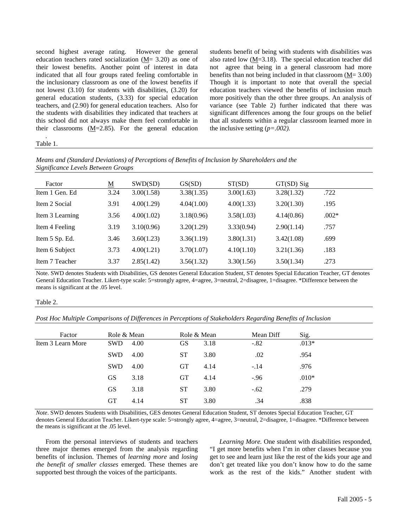second highest average rating. However the general education teachers rated socialization (M= 3.20) as one of their lowest benefits. Another point of interest in data indicated that all four groups rated feeling comfortable in the inclusionary classroom as one of the lowest benefits if not lowest (3.10) for students with disabilities, (3.20) for general education students, (3.33) for special education teachers, and (2.90) for general education teachers. Also for the students with disabilities they indicated that teachers at this school did not always make them feel comfortable in their classrooms (M=2.85). For the general education students benefit of being with students with disabilities was also rated low (M=3.18). The special education teacher did not agree that being in a general classroom had more benefits than not being included in that classroom (M= 3.00) Though it is important to note that overall the special education teachers viewed the benefits of inclusion much more positively than the other three groups. An analysis of variance (see Table 2) further indicated that there was significant differences among the four groups on the belief that all students within a regular classroom learned more in the inclusive setting (*p=.002).* 

#### *.* Table 1.

*Means and (Standard Deviations) of Perceptions of Benefits of Inclusion by Shareholders and the Significance Levels Between Groups* 

| Factor          | $\underline{\mathbf{M}}$ | SWD(SD)    | GS(SD)     | ST(SD)     | $GT(SD)$ Sig |         |
|-----------------|--------------------------|------------|------------|------------|--------------|---------|
| Item 1 Gen. Ed  | 3.24                     | 3.00(1.58) | 3.38(1.35) | 3.00(1.63) | 3.28(1.32)   | .722    |
| Item 2 Social   | 3.91                     | 4.00(1.29) | 4.04(1.00) | 4.00(1.33) | 3.20(1.30)   | .195    |
| Item 3 Learning | 3.56                     | 4.00(1.02) | 3.18(0.96) | 3.58(1.03) | 4.14(0.86)   | $.002*$ |
| Item 4 Feeling  | 3.19                     | 3.10(0.96) | 3.20(1.29) | 3.33(0.94) | 2.90(1.14)   | .757    |
| Item 5 Sp. Ed.  | 3.46                     | 3.60(1.23) | 3.36(1.19) | 3.80(1.31) | 3.42(1.08)   | .699    |
| Item 6 Subject  | 3.73                     | 4.00(1.21) | 3.70(1.07) | 4.10(1.10) | 3.21(1.36)   | .183    |
| Item 7 Teacher  | 3.37                     | 2.85(1.42) | 3.56(1.32) | 3.30(1.56) | 3.50(1.34)   | .273    |

Note. SWD denotes Students with Disabilities, GS denotes General Education Student, ST denotes Special Education Teacher, GT denotes General Education Teacher. Likert-type scale: 5=strongly agree, 4=agree, 3=neutral, 2=disagree, 1=disagree. \*Difference between the means is significant at the .05 level.

#### Table 2.

*Post Hoc Multiple Comparisons of Differences in Perceptions of Stakeholders Regarding Benefits of Inclusion* 

| Factor            | Role & Mean |      | Role & Mean |      | Mean Diff | Sig.    |
|-------------------|-------------|------|-------------|------|-----------|---------|
| Item 3 Learn More | SWD.        | 4.00 | GS          | 3.18 | $-.82$    | $.013*$ |
|                   | SWD         | 4.00 | <b>ST</b>   | 3.80 | .02       | .954    |
|                   | <b>SWD</b>  | 4.00 | <b>GT</b>   | 4.14 | $-.14$    | .976    |
|                   | <b>GS</b>   | 3.18 | <b>GT</b>   | 4.14 | $-0.96$   | $.010*$ |
|                   | <b>GS</b>   | 3.18 | <b>ST</b>   | 3.80 | $-.62$    | .279    |
|                   | <b>GT</b>   | 4.14 | <b>ST</b>   | 3.80 | .34       | .838    |
|                   |             |      |             |      |           |         |

*Note*. SWD denotes Students with Disabilities, GES denotes General Education Student, ST denotes Special Education Teacher, GT denotes General Education Teacher. Likert-type scale: 5=strongly agree, 4=agree, 3=neutral, 2=disagree, 1=disagree. \*Difference between the means is significant at the .05 level.

From the personal interviews of students and teachers three major themes emerged from the analysis regarding benefits of inclusion. Themes of *learning more* and *losing the benefit of smaller classes* emerged. These themes are supported best through the voices of the participants.

*Learning More.* One student with disabilities responded, "I get more benefits when I'm in other classes because you get to see and learn just like the rest of the kids your age and don't get treated like you don't know how to do the same work as the rest of the kids." Another student with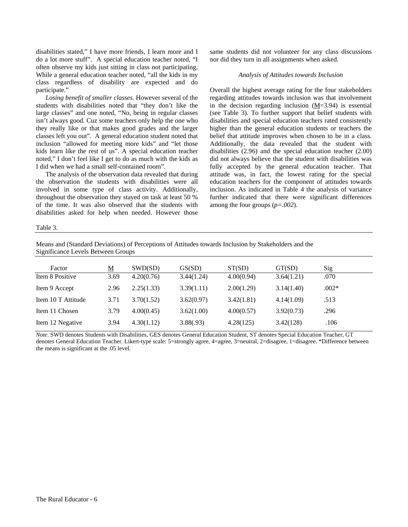disabilities stated," I have more friends, I learn more and I do a lot more stuff". A special education teacher noted, "I often observe my kids just sitting in class not participating. While a general education teacher noted, "all the kids in my class regardless of disability are expected and do participate."

*Losing benefit of smaller classes.* However several of the students with disabilities noted that "they don't like the large classes" and one noted, "No, being in regular classes isn't always good. Cuz some teachers only help the one who they really like or that makes good grades and the larger classes left you out". A general education student noted that inclusion "allowed for meeting more kids" and "let those kids learn like the rest of us". A special education teacher noted," I don't feel like I get to do as much with the kids as I did when we had a small self-contained room".

The analysis of the observation data revealed that during the observation the students with disabilities were all involved in some type of class activity. Additionally, throughout the observation they stayed on task at least 50 % of the time. It was also observed that the students with disabilities asked for help when needed. However those same students did not volunteer for any class discussions nor did they turn in all assignments when asked.

#### *Analysis of Attitudes towards Inclusion*

Overall the highest average rating for the four stakeholders regarding attitudes towards inclusion was that involvement in the decision regarding inclusion (M=3.94) is essential (see Table 3). To further support that belief students with disabilities and special education teachers rated consistently higher than the general education students or teachers the belief that attitude improves when chosen to be in a class. Additionally, the data revealed that the student with disabilities (2.96) and the special education teacher (2.00) did not always believe that the student with disabilities was fully accepted by the general education teacher. That attitude was, in fact, the lowest rating for the special education teachers for the component of attitudes towards inclusion. As indicated in Table 4 the analysis of variance further indicated that there were significant differences among the four groups (*p=.002*).

#### Table 3.

Means and (Standard Deviations) of Perceptions of Attitudes towards Inclusion by Stakeholders and the Significance Levels Between Groups

| Factor             | $\underline{\mathbf{M}}$ | SWD(SD)    | GS(SD)     | ST(SD)     | GT(SD)     | Sig     |
|--------------------|--------------------------|------------|------------|------------|------------|---------|
| Item 8 Positive    | 3.69                     | 4.20(0.76) | 3.44(1.24) | 4.00(0.94) | 3.64(1.21) | .070    |
| Item 9 Accept      | 2.96                     | 2.25(1.33) | 3.39(1.11) | 2.00(1.29) | 3.14(1.40) | $.002*$ |
| Item 10 T Attitude | 3.71                     | 3.70(1.52) | 3.62(0.97) | 3.42(1.81) | 4.14(1.09) | .513    |
| Item 11 Chosen     | 3.79                     | 4.00(0.45) | 3.62(1.00) | 4.00(0.57) | 3.92(0.73) | .296    |
| Item 12 Negative   | 3.94                     | 4.30(1.12) | 3.88(.93)  | 4.28(125)  | 3.42(128)  | .106    |

*Note*. SWD denotes Students with Disabilities, GES denotes General Education Student, ST denotes Special Education Teacher, GT denotes General Education Teacher. Likert-type scale: 5=strongly agree, 4=agree, 3=neutral, 2=disagree, 1=disagree. \*Difference between the means is significant at the .05 level.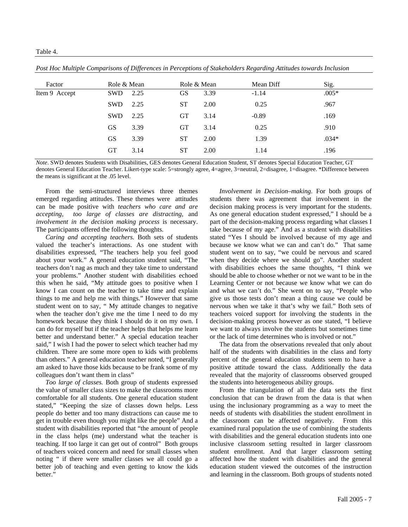| Factor        | Role & Mean |      |           | Role & Mean | Mean Diff | Sig.    |
|---------------|-------------|------|-----------|-------------|-----------|---------|
| Item 9 Accept | <b>SWD</b>  | 2.25 | GS        | 3.39        | $-1.14$   | $.005*$ |
|               | <b>SWD</b>  | 2.25 | <b>ST</b> | 2.00        | 0.25      | .967    |
|               | SWD         | 2.25 | <b>GT</b> | 3.14        | $-0.89$   | .169    |
|               | <b>GS</b>   | 3.39 | <b>GT</b> | 3.14        | 0.25      | .910    |
|               | <b>GS</b>   | 3.39 | <b>ST</b> | 2.00        | 1.39      | $.034*$ |
|               | <b>GT</b>   | 3.14 | <b>ST</b> | 2.00        | 1.14      | .196    |

*Post Hoc Multiple Comparisons of Differences in Perceptions of Stakeholders Regarding Attitudes towards Inclusion* 

*Note*. SWD denotes Students with Disabilities, GES denotes General Education Student, ST denotes Special Education Teacher, GT denotes General Education Teacher. Likert-type scale: 5=strongly agree, 4=agree, 3=neutral, 2=disagree, 1=disagree. \*Difference between the means is significant at the .05 level.

From the semi-structured interviews three themes emerged regarding attitudes. These themes were attitudes can be made positive with *teachers who care and are accepting*, *too large of classes are distracting*, and *involvement in the decision making process* is necessary. The participants offered the following thoughts.

*Caring and accepting teachers.* Both sets of students valued the teacher's interactions. As one student with disabilities expressed, "The teachers help you feel good about your work." A general education student said, "The teachers don't nag as much and they take time to understand your problems." Another student with disabilities echoed this when he said, "My attitude goes to positive when I know I can count on the teacher to take time and explain things to me and help me with things." However that same student went on to say, " My attitude changes to negative when the teacher don't give me the time I need to do my homework because they think I should do it on my own. I can do for myself but if the teacher helps that helps me learn better and understand better." A special education teacher said," I wish I had the power to select which teacher had my children. There are some more open to kids with problems than others." A general education teacher noted, "I generally am asked to have those kids because to be frank some of my colleagues don't want them in class"

*Too large of classes.* Both group of students expressed the value of smaller class sizes to make the classrooms more comfortable for all students. One general education student stated," "Keeping the size of classes down helps. Less people do better and too many distractions can cause me to get in trouble even though you might like the people" And a student with disabilities reported that "the amount of people in the class helps (me) understand what the teacher is teaching. If too large it can get out of control" Both groups of teachers voiced concern and need for small classes when noting " if there were smaller classes we all could go a better job of teaching and even getting to know the kids better."

*Involvement in Decision–making*. For both groups of students there was agreement that involvement in the decision making process is very important for the students. As one general education student expressed," I should be a part of the decision-making process regarding what classes I take because of my age." And as a student with disabilities stated "Yes I should be involved because of my age and because we know what we can and can't do." That same student went on to say, "we could be nervous and scared when they decide where we should go". Another student with disabilities echoes the same thoughts, "I think we should be able to choose whether or not we want to be in the Learning Center or not because we know what we can do and what we can't do." She went on to say, "People who give us those tests don't mean a thing cause we could be nervous when we take it that's why we fail." Both sets of teachers voiced support for involving the students in the decision-making process however as one stated, "I believe we want to always involve the students but sometimes time or the lack of time determines who is involved or not."

The data from the observations revealed that only about half of the students with disabilities in the class and forty percent of the general education students seem to have a positive attitude toward the class. Additionally the data revealed that the majority of classrooms observed grouped the students into heterogeneous ability groups.

From the triangulation of all the data sets the first conclusion that can be drawn from the data is that when using the inclusionary programming as a way to meet the needs of students with disabilities the student enrollment in the classroom can be affected negatively. From this examined rural population the use of combining the students with disabilities and the general education students into one inclusive classroom setting resulted in larger classroom student enrollment. And that larger classroom setting affected how the student with disabilities and the general education student viewed the outcomes of the instruction and learning in the classroom. Both groups of students noted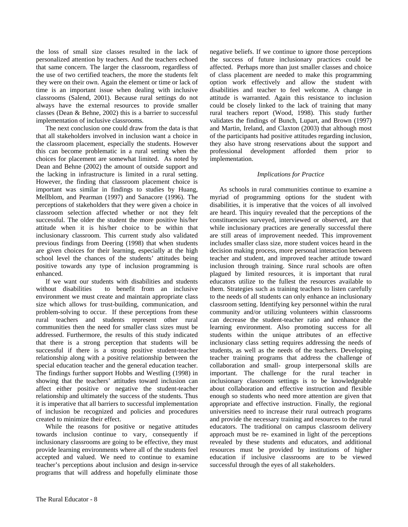the loss of small size classes resulted in the lack of personalized attention by teachers. And the teachers echoed that same concern. The larger the classroom, regardless of the use of two certified teachers, the more the students felt they were on their own. Again the element or time or lack of time is an important issue when dealing with inclusive classrooms (Salend, 2001). Because rural settings do not always have the external resources to provide smaller classes (Dean & Behne, 2002) this is a barrier to successful implementation of inclusive classrooms.

The next conclusion one could draw from the data is that that all stakeholders involved in inclusion want a choice in the classroom placement, especially the students. However this can become problematic in a rural setting when the choices for placement are somewhat limited. As noted by Dean and Behne (2002) the amount of outside support and the lacking in infrastructure is limited in a rural setting. However, the finding that classroom placement choice is important was similar in findings to studies by Huang, Mellblom, and Pearman (1997) and Sanacore (1996). The perceptions of stakeholders that they were given a choice in classroom selection affected whether or not they felt successful. The older the student the more positive his/her attitude when it is his/her choice to be within that inclusionary classroom. This current study also validated previous findings from Deering (1998) that when students are given choices for their learning, especially at the high school level the chances of the students' attitudes being positive towards any type of inclusion programming is enhanced.

If we want our students with disabilities and students without disabilities to benefit from an inclusive environment we must create and maintain appropriate class size which allows for trust-building, communication, and problem-solving to occur. If these perceptions from these rural teachers and students represent other rural communities then the need for smaller class sizes must be addressed. Furthermore, the results of this study indicated that there is a strong perception that students will be successful if there is a strong positive student-teacher relationship along with a positive relationship between the special education teacher and the general education teacher. The findings further support Hobbs and Westling (1998) in showing that the teachers' attitudes toward inclusion can affect either positive or negative the student-teacher relationship and ultimately the success of the students. Thus it is imperative that all barriers to successful implementation of inclusion be recognized and policies and procedures created to minimize their effect.

While the reasons for positive or negative attitudes towards inclusion continue to vary, consequently if inclusionary classrooms are going to be effective, they must provide learning environments where all of the students feel accepted and valued. We need to continue to examine teacher's perceptions about inclusion and design in-service programs that will address and hopefully eliminate those negative beliefs. If we continue to ignore those perceptions the success of future inclusionary practices could be affected. Perhaps more than just smaller classes and choice of class placement are needed to make this programming option work effectively and allow the student with disabilities and teacher to feel welcome. A change in attitude is warranted. Again this resistance to inclusion could be closely linked to the lack of training that many rural teachers report (Wood, 1998). This study further validates the findings of Bunch, Lupart, and Brown (1997) and Martin, Ireland, and Claxton (2003) that although most of the participants had positive attitudes regarding inclusion, they also have strong reservations about the support and professional development afforded them prior to implementation.

#### *Implications for Practice*

As schools in rural communities continue to examine a myriad of programming options for the student with disabilities, it is imperative that the voices of all involved are heard. This inquiry revealed that the perceptions of the constituencies surveyed, interviewed or observed, are that while inclusionary practices are generally successful there are still areas of improvement needed. This improvement includes smaller class size, more student voices heard in the decision making process, more personal interaction between teacher and student, and improved teacher attitude toward inclusion through training. Since rural schools are often plagued by limited resources, it is important that rural educators utilize to the fullest the resources available to them. Strategies such as training teachers to listen carefully to the needs of all students can only enhance an inclusionary classroom setting. Identifying key personnel within the rural community and/or utilizing volunteers within classrooms can decrease the student-teacher ratio and enhance the learning environment. Also promoting success for all students within the unique attributes of an effective inclusionary class setting requires addressing the needs of students, as well as the needs of the teachers. Developing teacher training programs that address the challenge of collaboration and small- group interpersonal skills are important. The challenge for the rural teacher in inclusionary classroom settings is to be knowledgeable about collaboration and effective instruction and flexible enough so students who need more attention are given that appropriate and effective instruction. Finally, the regional universities need to increase their rural outreach programs and provide the necessary training and resources to the rural educators. The traditional on campus classroom delivery approach must be re- examined in light of the perceptions revealed by these students and educators, and additional resources must be provided by institutions of higher education if inclusive classrooms are to be viewed successful through the eyes of all stakeholders.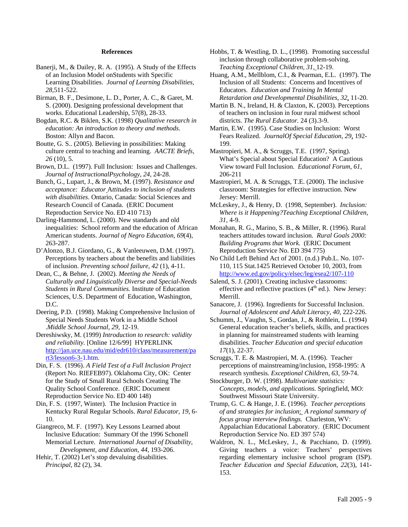#### **References**

- Banerji, M., & Dailey, R. A. (1995). A Study of the Effects of an Inclusion Model onStudents with Specific Learning Disabilities. *Journal of Learning Disabilities, 28,*511-522.
- Birman, B. F., Desimone, L. D., Porter, A. C., & Garet, M. S. (2000). Designing professional development that works. Educational Leadership, 57(8), 28-33.
- Bogdan, R.C. & Biklen, S.K. (1998) *Qualitative research in education: An introduction to theory and methods.*  Boston: Allyn and Bacon.
- Boutte, G. S.. (2005). Believing in possibilities: Making culture central to teaching and learning. *AACTE Briefs, 26* (10), 5.
- Brown, D.L. (1997). Full Inclusion: Issues and Challenges. *Journal of InstructionalPsychology, 24,* 24-28.
- Bunch, G., Lupart, J., & Brown, M. (1997). *Resistance and acceptance: Educator* A*ttitudes to inclusion of students with disabilities*. Ontario, Canada: Social Sciences and Research Council of Canada. (ERIC Document Reproduction Service No. ED 410 713)
- Darling-Hammond, L. (2000). New standards and old inequalities: School reform and the education of African American students. *Journal of Negro Education, 69*(4), 263-287.
- D'Alonzo, B.J. Giordano, G., & Vanleeuwen, D.M. (1997). Perceptions by teachers about the benefits and liabilities of inclusion. *Preventing school failure, 42* (1), 4-11.
- Dean, C., & Behne, J. (2002). *Meeting the Needs of Culturally and Linguistically Diverse and Special-Needs Students in Rural Communities.* Institute of Education Sciences, U.S. Department of Education, Washington, D.C.
- Deering, P.D. (1998). Making Comprehensive Inclusion of Special Needs Students Work in a Middle School .*Middle School Journal, 29,* 12-19.
- Dereshiwsky, M. (1999) *Introduction to research: validity and reliability.* [Online 12/6/99] HYPERLINK http://jan.uce.nau.edu/mid/edr610/class/measurement/pa rt3/lesson6-3-1.htm.
- Din, F. S. (1996). *A Field Test of a Full Inclusion Project* (Report No. RIEFEB97). Oklahoma City, OK: Center for the Study of Small Rural Schools Creating The Quality School Conference. (ERIC Document Reproduction Service No. ED 400 148)
- Din, F. S. (1997, Winter). The Inclusion Practice in Kentucky Rural Regular Schools. *Rural Educator, 19,* 6- 10.
- Giangreco, M. F. (1997). Key Lessons Learned about Inclusive Education: Summary Of the 1996 Schonell Memorial Lecture. *International Journal of Disability, Development, and Education, 44,* 193-206.
- Hehir, T. (2002) Let's stop devaluing disabilities. *Principal,* 82 (2), 34.
- Hobbs, T. & Westling, D. L., (1998). Promoting successful inclusion through collaborative problem-solving. *Teaching Exceptional Children, 31,* 12-19.
- Huang, A.M., Mellblom, C.I., & Pearman, E.L. (1997). The Inclusion of all Students: Concerns and Incentives of Educators. *Education and Training In Mental Retardation and Developmental Disabilities, 32*, 11-20.
- Martin B. N., Ireland, H. & Claxton, K. (2003). Perceptions of teachers on inclusion in four rural midwest school districts. *The Rural Educator.* 24 (3).3-9.
- Martin, E.W. (1995). Case Studies on Inclusion: Worst Fears Realized. *JournalOf Special Education, 29*, 192- 199.

Mastropieri, M. A., & Scruggs, T.E. (1997, Spring). What's Special about Special Education? A Cautious View toward Full Inclusion. *Educational Forum, 61,* 206-211

- Mastropieri, M. A. & Scruggs, T.E. (2000). The inclusive classroom: Strategies for effective instruction. New Jersey: Merrill.
- McLeskey, J., & Henry, D. (1998, September). *Inclusion: Where is it Happening?Teaching Exceptional Children, 31,* 4-9.
- Monahan, R. G., Marino, S. B., & Miller, R. (1996). Rural teachers attitudes toward inclusion. *Rural Goals 2000: Building Programs that Work.* (ERIC Document Reproduction Service No. ED 394 775)
- No Child Left Behind Act of 2001. (n.d.) Pub.L. No. 107- 110, 115 Stat.1425 Retrieved October 10, 2003, from http://www.ed.gov/policy/elsec/leg/esea2/107-110
- Salend, S. J. (2001). Creating inclusive classrooms: effective and reflective practices  $(4<sup>th</sup>$  ed.). New Jersey: Merrill.
- Sanacore, J. (1996). Ingredients for Successful Inclusion. *Journal of Adolescent and Adult Literacy, 40,* 222-226.
- Schumm, J., Vaughn, S., Gordan, J., & Rothlein, L. (1994) General education teacher's beliefs, skills, and practices in planning for mainstreamed students with learning disabilities. *Teacher Education and special education 17*(1), 22-37.
- Scruggs, T. E. & Mastropieri, M. A. (1996). Teacher perceptions of mainstreaming/inclusion, 1958-1995: A research synthesis*. Exceptional Children, 63*, 59-74.
- Stockburger, D. W. (1998). *Multivariate statistics: Concepts, models, and applications.* Springfield, MO: Southwest Missouri State University.
- Trump, G. C. & Hange, J. E. (1996). *Teacher perceptions of and strategies for inclusion*: *A regional summary of focus group interview findings.* Charleston, WV: Appalachian Educational Laboratory. (ERIC Document Reproduction Service No. ED 397 574)
- Waldron, N. L., McLeskey, J., & Pacchiano, D. (1999). Giving teachers a voice: Teachers' perspectives regarding elementary inclusive school program (ISP). *Teacher Education and Special Education, 22*(3), 141- 153.